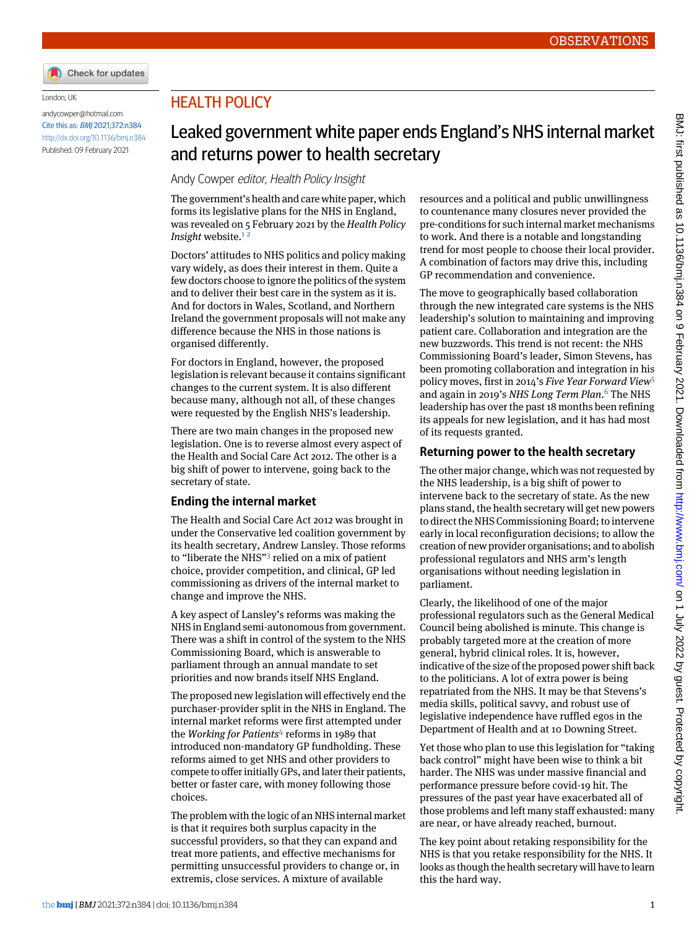

#### London, UK

[andycowper@hotmail.com](mailto:andycowper@hotmail.com) Cite this as: BMJ 2021;372:n384 <http://dx.doi.org/10.1136/bmj.n384> Published: 09 February 2021

## HEALTH POLICY

# Leaked government white paper ends England's NHS internal market and returns power to health secretary

Andy Cowper editor, Health Policy Insight

The government's health and care white paper, which forms its legislative plans for the NHS in England, was revealed on 5 February 2021 by the *Health Policy Insight* website.<sup>[1](#page-1-0)2</sup>

Doctors' attitudes to NHS politics and policy making vary widely, as does their interest in them. Quite a few doctors choose to ignore the politics of the system and to deliver their best care in the system as it is. And for doctors in Wales, Scotland, and Northern Ireland the government proposals will not make any difference because the NHS in those nations is organised differently.

For doctors in England, however, the proposed legislation is relevant because it contains significant changes to the current system. It is also different because many, although not all, of these changes were requested by the English NHS's leadership.

There are two main changes in the proposed new legislation. One is to reverse almost every aspect of the Health and Social Care Act 2012. The other is a big shift of power to intervene, going back to the secretary of state.

### **Ending the internal market**

The Health and Social Care Act 2012 was brought in under the Conservative led coalition government by its health secretary, Andrew Lansley. Those reforms to "liberate the NHS"<sup>[3](#page-1-2)</sup> relied on a mix of patient choice, provider competition, and clinical, GP led commissioning as drivers of the internal market to change and improve the NHS.

A key aspect of Lansley's reforms was making the NHS in England semi-autonomous from government. There was a shift in control of the system to the NHS Commissioning Board, which is answerable to parliament through an annual mandate to set priorities and now brands itself NHS England.

The proposed new legislation will effectively end the purchaser-provider split in the NHS in England. The internal market reforms were first attempted under the *Working for Patients*[4](#page-1-3) reforms in 1989 that introduced non-mandatory GP fundholding. These reforms aimed to get NHS and other providers to compete to offer initially GPs, and later their patients, better or faster care, with money following those choices.

The problem with the logic of an NHS internal market is that it requires both surplus capacity in the successful providers, so that they can expand and treat more patients, and effective mechanisms for permitting unsuccessful providers to change or, in extremis, close services. A mixture of available

resources and a political and public unwillingness to countenance many closures never provided the pre-conditions for such internal market mechanisms to work. And there is a notable and longstanding trend for most people to choose their local provider. A combination of factors may drive this, including GP recommendation and convenience.

The move to geographically based collaboration through the new integrated care systems is the NHS leadership's solution to maintaining and improving patient care. Collaboration and integration are the new buzzwords. This trend is not recent: the NHS Commissioning Board's leader, Simon Stevens, has been promoting collaboration and integration in his policy moves, first in 2014's *Five Year Forward View*[5](#page-1-4) and again in 2019's *NHS Long Term Plan*. [6](#page-1-5) The NHS leadership has over the past 18 months been refining its appeals for new legislation, and it has had most of its requests granted.

### **Returning power to the health secretary**

The other major change, which was not requested by the NHS leadership, is a big shift of power to intervene back to the secretary of state. As the new plans stand, the health secretary will get new powers to direct the NHS Commissioning Board; to intervene early in local reconfiguration decisions; to allow the creation of new provider organisations; and to abolish professional regulators and NHS arm's length organisations without needing legislation in parliament.

Clearly, the likelihood of one of the major professional regulators such as the General Medical Council being abolished is minute. This change is probably targeted more at the creation of more general, hybrid clinical roles. It is, however, indicative of the size of the proposed power shift back to the politicians. A lot of extra power is being repatriated from the NHS. It may be that Stevens's media skills, political savvy, and robust use of legislative independence have ruffled egos in the Department of Health and at 10 Downing Street.

Yet those who plan to use this legislation for "taking back control" might have been wise to think a bit harder. The NHS was under massive financial and performance pressure before covid-19 hit. The pressures of the past year have exacerbated all of those problems and left many staff exhausted: many are near, or have already reached, burnout.

The key point about retaking responsibility for the NHS is that you retake responsibility for the NHS. It looks as though the health secretary will have to learn this the hard way.